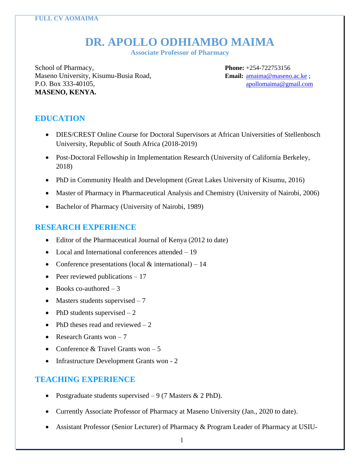# **DR. APOLLO ODHIAMBO MAIMA**

**Associate Professor of Pharmacy**

School of Pharmacy, **Phone:** +254-722753156 Maseno University, Kisumu-Busia Road, **Email:** [amaima@maseno.ac.ke](mailto:amaima@maseno.ac.ke); P.O. Box 333-40105, [apollomaima@gmail.com](mailto:apollomaima@gmail.com) **MASENO, KENYA.**

## **EDUCATION**

- DIES/CREST Online Course for Doctoral Supervisors at African Universities of Stellenbosch University, Republic of South Africa (2018-2019)
- Post-Doctoral Fellowship in Implementation Research (University of California Berkeley, 2018)
- PhD in Community Health and Development (Great Lakes University of Kisumu, 2016)
- Master of Pharmacy in Pharmaceutical Analysis and Chemistry (University of Nairobi, 2006)
- Bachelor of Pharmacy (University of Nairobi, 1989)

## **RESEARCH EXPERIENCE**

- Editor of the Pharmaceutical Journal of Kenya (2012 to date)
- Local and International conferences attended 19
- Conference presentations (local  $&$  international) 14
- Peer reviewed publications  $-17$
- Books co-authored  $-3$
- Masters students supervised  $-7$
- PhD students supervised  $-2$
- PhD theses read and reviewed  $-2$
- Research Grants won  $-7$
- Conference  $&$  Travel Grants won  $-5$
- Infrastructure Development Grants won 2

## **TEACHING EXPERIENCE**

- Postgraduate students supervised  $-9$  (7 Masters & 2 PhD).
- Currently Associate Professor of Pharmacy at Maseno University (Jan., 2020 to date).
- Assistant Professor (Senior Lecturer) of Pharmacy & Program Leader of Pharmacy at USIU-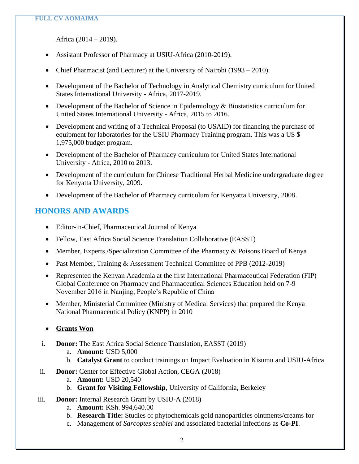Africa (2014 – 2019).

- Assistant Professor of Pharmacy at USIU-Africa (2010-2019).
- Chief Pharmacist (and Lecturer) at the University of Nairobi (1993 2010).
- Development of the Bachelor of Technology in Analytical Chemistry curriculum for United States International University - Africa, 2017-2019.
- Development of the Bachelor of Science in Epidemiology & Biostatistics curriculum for United States International University - Africa, 2015 to 2016.
- Development and writing of a Technical Proposal (to USAID) for financing the purchase of equipment for laboratories for the USIU Pharmacy Training program. This was a US \$ 1,975,000 budget program.
- Development of the Bachelor of Pharmacy curriculum for United States International University - Africa, 2010 to 2013.
- Development of the curriculum for Chinese Traditional Herbal Medicine undergraduate degree for Kenyatta University, 2009.
- Development of the Bachelor of Pharmacy curriculum for Kenyatta University, 2008.

## **HONORS AND AWARDS**

- Editor-in-Chief, Pharmaceutical Journal of Kenya
- Fellow, East Africa Social Science Translation Collaborative (EASST)
- Member, Experts / Specialization Committee of the Pharmacy & Poisons Board of Kenya
- Past Member, Training & Assessment Technical Committee of PPB (2012-2019)
- Represented the Kenyan Academia at the first International Pharmaceutical Federation (FIP) Global Conference on Pharmacy and Pharmaceutical Sciences Education held on 7-9 November 2016 in Nanjing, People's Republic of China
- Member, Ministerial Committee (Ministry of Medical Services) that prepared the Kenya National Pharmaceutical Policy (KNPP) in 2010
- **Grants Won**
- i. **Donor:** The East Africa Social Science Translation, EASST (2019)
	- a. **Amount:** USD 5,000
	- b. **Catalyst Grant** to conduct trainings on Impact Evaluation in Kisumu and USIU-Africa
- ii. **Donor:** Center for Effective Global Action, CEGA (2018)
	- a. **Amount:** USD 20,540
	- b. **Grant for Visiting Fellowship**, University of California, Berkeley
- iii. **Donor:** Internal Research Grant by USIU-A (2018)
	- a. **Amount:** KSh. 994,640.00
	- b. **Research Title:** Studies of phytochemicals gold nanoparticles ointments/creams for
	- c. Management of *Sarcoptes scabiei* and associated bacterial infections as **Co-PI**.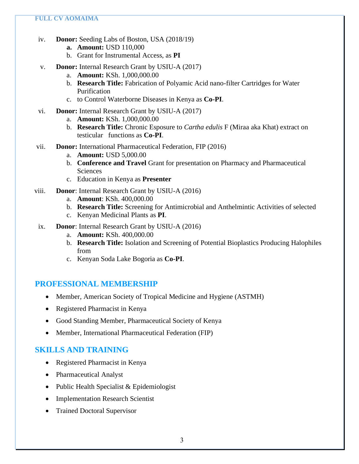- iv. **Donor:** Seeding Labs of Boston, USA (2018/19)
	- **a. Amount:** USD 110,000
	- b. Grant for Instrumental Access, as **PI**
- v. **Donor:** Internal Research Grant by USIU-A (2017)
	- a. **Amount:** KSh. 1,000,000.00
	- b. **Research Title:** Fabrication of Polyamic Acid nano-filter Cartridges for Water Purification
	- c. to Control Waterborne Diseases in Kenya as **Co-PI**.
- vi. **Donor:** Internal Research Grant by USIU-A (2017)
	- a. **Amount:** KSh. 1,000,000.00
	- b. **Research Title:** Chronic Esposure to *Cartha edulis* F (Miraa aka Khat) extract on testicular functions as **Co-PI**.
- vii. **Donor:** International Pharmaceutical Federation, FIP (2016)
	- a. **Amount:** USD 5,000.00
	- b. **Conference and Travel** Grant for presentation on Pharmacy and Pharmaceutical Sciences
	- c. Education in Kenya as **Presenter**
- viii. **Donor**: Internal Research Grant by USIU-A (2016)
	- a. **Amount**: KSh. 400,000.00
	- b. **Research Title:** Screening for Antimicrobial and Anthelmintic Activities of selected
	- c. Kenyan Medicinal Plants as **PI**.
- ix. **Donor**: Internal Research Grant by USIU-A (2016)
	- a. **Amount:** KSh. 400,000.00
	- b. **Research Title:** Isolation and Screening of Potential Bioplastics Producing Halophiles from
	- c. Kenyan Soda Lake Bogoria as **Co-PI**.

## **PROFESSIONAL MEMBERSHIP**

- Member, American Society of Tropical Medicine and Hygiene (ASTMH)
- Registered Pharmacist in Kenya
- Good Standing Member, Pharmaceutical Society of Kenya
- Member, International Pharmaceutical Federation (FIP)

## **SKILLS AND TRAINING**

- Registered Pharmacist in Kenya
- Pharmaceutical Analyst
- Public Health Specialist & Epidemiologist
- Implementation Research Scientist
- Trained Doctoral Supervisor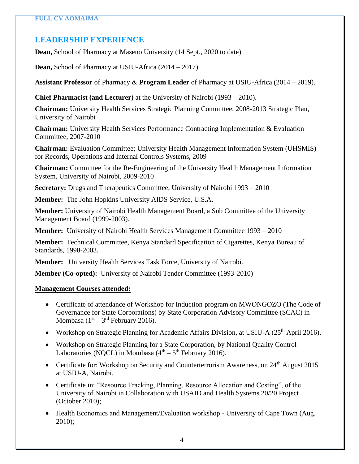# **LEADERSHIP EXPERIENCE**

**Dean,** School of Pharmacy at Maseno University (14 Sept., 2020 to date)

**Dean,** School of Pharmacy at USIU-Africa (2014 – 2017).

**Assistant Professor** of Pharmacy & **Program Leader** of Pharmacy at USIU-Africa (2014 – 2019).

**Chief Pharmacist (and Lecturer)** at the University of Nairobi (1993 – 2010).

**Chairman:** University Health Services Strategic Planning Committee, 2008-2013 Strategic Plan, University of Nairobi

**Chairman:** University Health Services Performance Contracting Implementation & Evaluation Committee, 2007-2010

**Chairman:** Evaluation Committee; University Health Management Information System (UHSMIS) for Records, Operations and Internal Controls Systems, 2009

**Chairman:** Committee for the Re-Engineering of the University Health Management Information System, University of Nairobi, 2009-2010

**Secretary:** Drugs and Therapeutics Committee, University of Nairobi 1993 – 2010

**Member:** The John Hopkins University AIDS Service, U.S.A.

**Member:** University of Nairobi Health Management Board, a Sub Committee of the University Management Board (1999-2003).

**Member:** University of Nairobi Health Services Management Committee 1993 – 2010

**Member:** Technical Committee, Kenya Standard Specification of Cigarettes, Kenya Bureau of Standards, 1998-2003.

**Member:** University Health Services Task Force, University of Nairobi.

**Member (Co-opted):** University of Nairobi Tender Committee (1993-2010)

#### **Management Courses attended:**

- Certificate of attendance of Workshop for Induction program on MWONGOZO (The Code of Governance for State Corporations) by State Corporation Advisory Committee (SCAC) in Mombasa  $(1<sup>st</sup> – 3<sup>rd</sup> February 2016).$
- Workshop on Strategic Planning for Academic Affairs Division, at USIU-A (25<sup>th</sup> April 2016).
- Workshop on Strategic Planning for a State Corporation, by National Quality Control Laboratories (NQCL) in Mombasa  $(4<sup>th</sup> – 5<sup>th</sup>$  February 2016).
- Certificate for: Workshop on Security and Counterterrorism Awareness, on 24<sup>th</sup> August 2015 at USIU-A, Nairobi.
- Certificate in: "Resource Tracking, Planning, Resource Allocation and Costing", of the University of Nairobi in Collaboration with USAID and Health Systems 20/20 Project (October 2010);
- Health Economics and Management/Evaluation workshop University of Cape Town (Aug. 2010);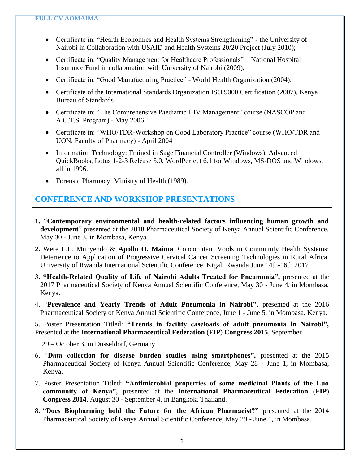- Certificate in: "Health Economics and Health Systems Strengthening" the University of Nairobi in Collaboration with USAID and Health Systems 20/20 Project (July 2010);
- Certificate in: "Quality Management for Healthcare Professionals" National Hospital Insurance Fund in collaboration with University of Nairobi (2009);
- Certificate in: "Good Manufacturing Practice" World Health Organization (2004);
- Certificate of the International Standards Organization ISO 9000 Certification (2007), Kenya Bureau of Standards
- Certificate in: "The Comprehensive Paediatric HIV Management" course (NASCOP and A.C.T.S. Program) - May 2006.
- Certificate in: "WHO/TDR-Workshop on Good Laboratory Practice" course (WHO/TDR and UON, Faculty of Pharmacy) - April 2004
- Information Technology: Trained in Sage Financial Controller (Windows), Advanced QuickBooks, Lotus 1-2-3 Release 5.0, WordPerfect 6.1 for Windows, MS-DOS and Windows, all in 1996.
- Forensic Pharmacy, Ministry of Health (1989).

## **CONFERENCE AND WORKSHOP PRESENTATIONS**

- **1.** "**Contemporary environmental and health-related factors influencing human growth and development**" presented at the 2018 Pharmaceutical Society of Kenya Annual Scientific Conference, May 30 - June 3, in Mombasa, Kenya.
- **2.** Were L.L. Munyendo & **Apollo O. Maima**. Concomitant Voids in Community Health Systems; Deterrence to Application of Progressive Cervical Cancer Screening Technologies in Rural Africa. University of Rwanda International Scientific Conference. Kigali Rwanda June 14th-16th 2017
- **3. "Health-Related Quality of Life of Nairobi Adults Treated for Pneumonia",** presented at the 2017 Pharmaceutical Society of Kenya Annual Scientific Conference, May 30 - June 4, in Mombasa, Kenya.

4. "**Prevalence and Yearly Trends of Adult Pneumonia in Nairobi",** presented at the 2016 Pharmaceutical Society of Kenya Annual Scientific Conference, June 1 - June 5, in Mombasa, Kenya.

5. Poster Presentation Titled: **"Trends in facility caseloads of adult pneumonia in Nairobi",**  Presented at the **International Pharmaceutical Federation** (**FIP**) **Congress 2015**, September

29 – October 3, in Dusseldorf, Germany.

- 6. "**Data collection for disease burden studies using smartphones",** presented at the 2015 Pharmaceutical Society of Kenya Annual Scientific Conference, May 28 - June 1, in Mombasa, Kenya.
- 7. Poster Presentation Titled: **"Antimicrobial properties of some medicinal Plants of the Luo community of Kenya",** presented at the **International Pharmaceutical Federation** (**FIP**) **Congress 2014**, August 30 - September 4, in Bangkok, Thailand.
- 8. "**Does Biopharming hold the Future for the African Pharmacist?"** presented at the 2014 Pharmaceutical Society of Kenya Annual Scientific Conference, May 29 - June 1, in Mombasa.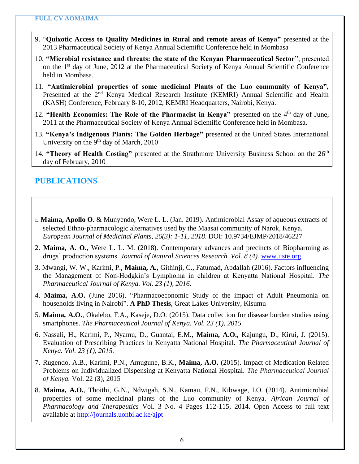- 9. "**Quixotic Access to Quality Medicines in Rural and remote areas of Kenya"** presented at the 2013 Pharmaceutical Society of Kenya Annual Scientific Conference held in Mombasa
- 10. **"Microbial resistance and threats: the state of the Kenyan Pharmaceutical Sector**", presented on the 1st day of June, 2012 at the Pharmaceutical Society of Kenya Annual Scientific Conference held in Mombasa.
- 11. **"Antimicrobial properties of some medicinal Plants of the Luo community of Kenya",**  Presented at the 2<sup>nd</sup> Kenya Medical Research Institute (KEMRI) Annual Scientific and Health (KASH) Conference, February 8-10, 2012, KEMRI Headquarters, Nairobi, Kenya.
- 12. **"Health Economics: The Role of the Pharmacist in Kenya"** presented on the 4<sup>th</sup> day of June, 2011 at the Pharmaceutical Society of Kenya Annual Scientific Conference held in Mombasa.
- 13. **"Kenya's Indigenous Plants: The Golden Herbage"** presented at the United States International University on the 9<sup>th</sup> day of March, 2010
- 14. **"Theory of Health Costing"** presented at the Strathmore University Business School on the 26<sup>th</sup> day of February, 2010

## **PUBLICATIONS**

- 1. **Maima, Apollo O.** & Munyendo, Were L. L. (Jan. 2019). Antimicrobial Assay of aqueous extracts of selected Ethno-pharmacologic alternatives used by the Maasai community of Narok, Kenya. *European Journal of Medicinal Plants, 26(3): 1-11, 2018*. DOI: 10.9734/EJMP/2018/46227
- 2. **Maima, A. O.**, Were L. L. M. (2018). Contemporary advances and precincts of Biopharming as drugs' production systems. *Journal of Natural Sciences Research. Vol. 8 (4).* [www.iiste.org](http://www.iiste.org/)
- 3. Mwangi, W. W., Karimi, P., **Maima, A.,** Githinji, C., Fatumad, Abdallah (2016). Factors influencing the Management of Non-Hodgkin's Lymphoma in children at Kenyatta National Hospital. *The Pharmaceutical Journal of Kenya. Vol. 23 (1), 2016.*
- 4. **Maima, A.O.** (June 2016). "Pharmacoeconomic Study of the impact of Adult Pneumonia on households living in Nairobi". **A PhD Thesis**, Great Lakes University, Kisumu
- 5. **Maima, A.O.**, Okalebo, F.A., Kaseje, D.O. (2015). Data collection for disease burden studies using smartphones. *The Pharmaceutical Journal of Kenya. Vol. 23 (1), 2015.*
- 6. Nassali, H., Karimi, P., Nyamu, D., Guantai, E.M., **Maima, A.O.,** Kajungu, D., Kirui, J. (2015). Evaluation of Prescribing Practices in Kenyatta National Hospital. *The Pharmaceutical Journal of Kenya. Vol. 23 (1), 2015.*
- 7. Rugendo, A.B., Karimi, P.N., Amugune, B.K., **Maima, A.O.** (2015). Impact of Medication Related Problems on Individualized Dispensing at Kenyatta National Hospital. *The Pharmaceutical Journal of Kenya.* Vol. 22 (**3**), 2015
- 8. **Maima, A.O.**, Thoithi, G.N., Ndwigah, S.N., Kamau, F.N., Kibwage, I.O. (2014). Antimicrobial properties of some medicinal plants of the Luo community of Kenya. *African Journal of Pharmacology and Therapeutics* Vol. 3 No. 4 Pages 112-115, 2014. Open Access to full text available at http://journals.uonbi.ac.ke/ajpt